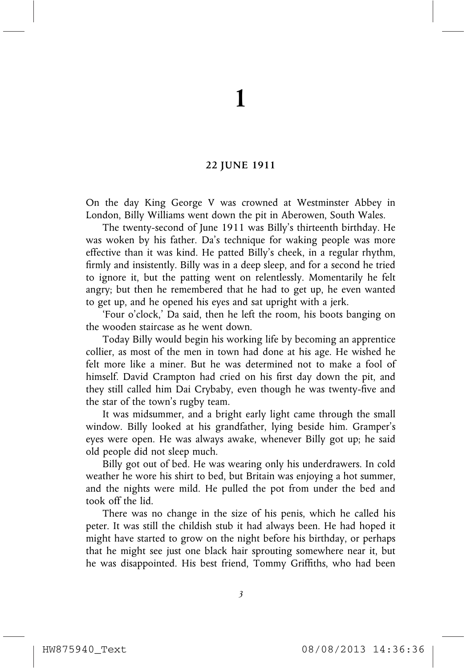## **1**

## **22 JUNE 1911**

On the day King George V was crowned at Westminster Abbey in London, Billy Williams went down the pit in Aberowen, South Wales.

The twenty-second of June 1911 was Billy's thirteenth birthday. He was woken by his father. Da's technique for waking people was more effective than it was kind. He patted Billy's cheek, in a regular rhythm, firmly and insistently. Billy was in a deep sleep, and for a second he tried to ignore it, but the patting went on relentlessly. Momentarily he felt angry; but then he remembered that he had to get up, he even wanted to get up, and he opened his eyes and sat upright with a jerk.

'Four o'clock,' Da said, then he left the room, his boots banging on the wooden staircase as he went down.

Today Billy would begin his working life by becoming an apprentice collier, as most of the men in town had done at his age. He wished he felt more like a miner. But he was determined not to make a fool of himself. David Crampton had cried on his first day down the pit, and they still called him Dai Crybaby, even though he was twenty-five and the star of the town's rugby team.

It was midsummer, and a bright early light came through the small window. Billy looked at his grandfather, lying beside him. Gramper's eyes were open. He was always awake, whenever Billy got up; he said old people did not sleep much.

Billy got out of bed. He was wearing only his underdrawers. In cold weather he wore his shirt to bed, but Britain was enjoying a hot summer, and the nights were mild. He pulled the pot from under the bed and took off the lid.

There was no change in the size of his penis, which he called his peter. It was still the childish stub it had always been. He had hoped it might have started to grow on the night before his birthday, or perhaps that he might see just one black hair sprouting somewhere near it, but he was disappointed. His best friend, Tommy Griffiths, who had been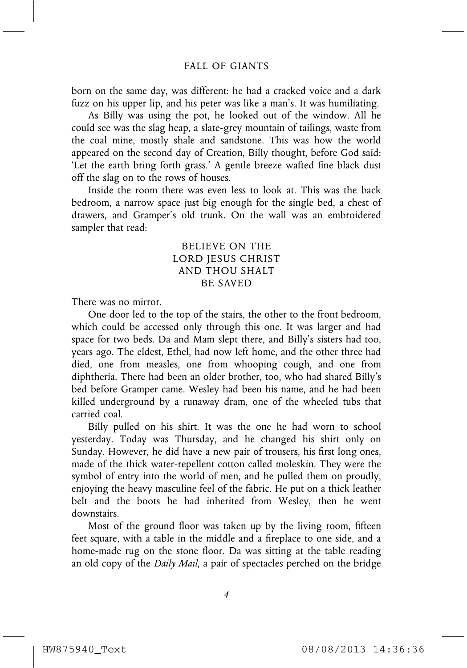born on the same day, was different: he had a cracked voice and a dark fuzz on his upper lip, and his peter was like a man's. It was humiliating.

As Billy was using the pot, he looked out of the window. All he could see was the slag heap, a slate-grey mountain of tailings, waste from the coal mine, mostly shale and sandstone. This was how the world appeared on the second day of Creation, Billy thought, before God said: 'Let the earth bring forth grass.' A gentle breeze wafted fine black dust off the slag on to the rows of houses.

Inside the room there was even less to look at. This was the back bedroom, a narrow space just big enough for the single bed, a chest of drawers, and Gramper's old trunk. On the wall was an embroidered sampler that read:

## BELIEVE ON THE LORD JESUS CHRIST AND THOU SHALT BE SAVED

There was no mirror.

One door led to the top of the stairs, the other to the front bedroom, which could be accessed only through this one. It was larger and had space for two beds. Da and Mam slept there, and Billy's sisters had too, years ago. The eldest, Ethel, had now left home, and the other three had died, one from measles, one from whooping cough, and one from diphtheria. There had been an older brother, too, who had shared Billy's bed before Gramper came. Wesley had been his name, and he had been killed underground by a runaway dram, one of the wheeled tubs that carried coal.

Billy pulled on his shirt. It was the one he had worn to school yesterday. Today was Thursday, and he changed his shirt only on Sunday. However, he did have a new pair of trousers, his first long ones, made of the thick water-repellent cotton called moleskin. They were the symbol of entry into the world of men, and he pulled them on proudly, enjoying the heavy masculine feel of the fabric. He put on a thick leather belt and the boots he had inherited from Wesley, then he went downstairs.

Most of the ground floor was taken up by the living room, fifteen feet square, with a table in the middle and a fireplace to one side, and a home-made rug on the stone floor. Da was sitting at the table reading an old copy of the *Daily Mail*, a pair of spectacles perched on the bridge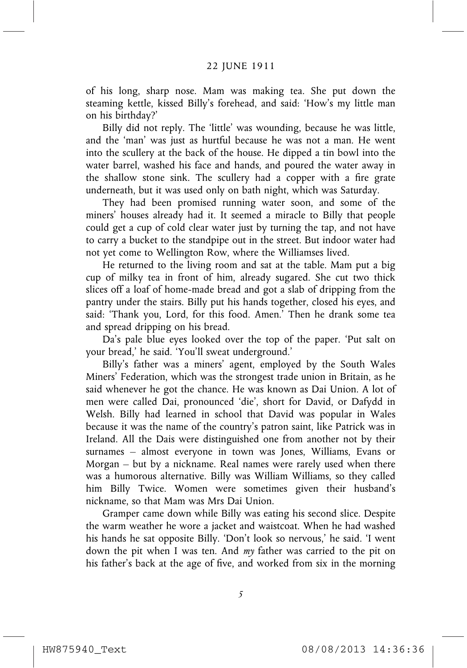of his long, sharp nose. Mam was making tea. She put down the steaming kettle, kissed Billy's forehead, and said: 'How's my little man on his birthday?'

Billy did not reply. The 'little' was wounding, because he was little, and the 'man' was just as hurtful because he was not a man. He went into the scullery at the back of the house. He dipped a tin bowl into the water barrel, washed his face and hands, and poured the water away in the shallow stone sink. The scullery had a copper with a fire grate underneath, but it was used only on bath night, which was Saturday.

They had been promised running water soon, and some of the miners' houses already had it. It seemed a miracle to Billy that people could get a cup of cold clear water just by turning the tap, and not have to carry a bucket to the standpipe out in the street. But indoor water had not yet come to Wellington Row, where the Williamses lived.

He returned to the living room and sat at the table. Mam put a big cup of milky tea in front of him, already sugared. She cut two thick slices off a loaf of home-made bread and got a slab of dripping from the pantry under the stairs. Billy put his hands together, closed his eyes, and said: 'Thank you, Lord, for this food. Amen.' Then he drank some tea and spread dripping on his bread.

Da's pale blue eyes looked over the top of the paper. 'Put salt on your bread,' he said. 'You'll sweat underground.'

Billy's father was a miners' agent, employed by the South Wales Miners' Federation, which was the strongest trade union in Britain, as he said whenever he got the chance. He was known as Dai Union. A lot of men were called Dai, pronounced 'die', short for David, or Dafydd in Welsh. Billy had learned in school that David was popular in Wales because it was the name of the country's patron saint, like Patrick was in Ireland. All the Dais were distinguished one from another not by their surnames – almost everyone in town was Jones, Williams, Evans or Morgan – but by a nickname. Real names were rarely used when there was a humorous alternative. Billy was William Williams, so they called him Billy Twice. Women were sometimes given their husband's nickname, so that Mam was Mrs Dai Union.

Gramper came down while Billy was eating his second slice. Despite the warm weather he wore a jacket and waistcoat. When he had washed his hands he sat opposite Billy. 'Don't look so nervous,' he said. 'I went down the pit when I was ten. And *my* father was carried to the pit on his father's back at the age of five, and worked from six in the morning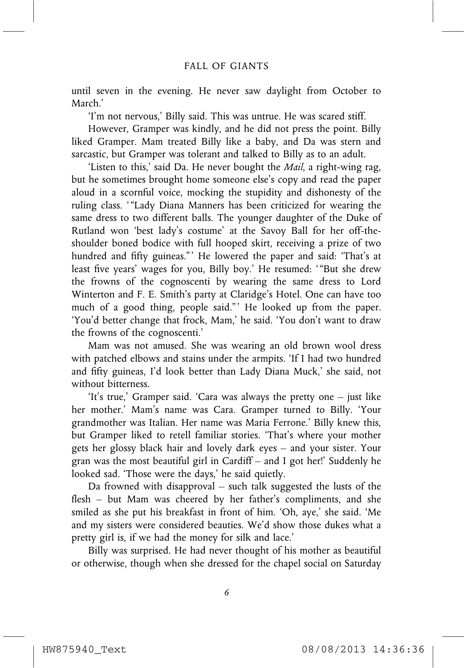until seven in the evening. He never saw daylight from October to March.'

'I'm not nervous,' Billy said. This was untrue. He was scared stiff.

However, Gramper was kindly, and he did not press the point. Billy liked Gramper. Mam treated Billy like a baby, and Da was stern and sarcastic, but Gramper was tolerant and talked to Billy as to an adult.

'Listen to this,' said Da. He never bought the *Mail*, a right-wing rag, but he sometimes brought home someone else's copy and read the paper aloud in a scornful voice, mocking the stupidity and dishonesty of the ruling class. "Lady Diana Manners has been criticized for wearing the same dress to two different balls. The younger daughter of the Duke of Rutland won 'best lady's costume' at the Savoy Ball for her off-theshoulder boned bodice with full hooped skirt, receiving a prize of two hundred and fifty guineas." ' He lowered the paper and said: 'That's at least five years' wages for you, Billy boy.' He resumed: "But she drew the frowns of the cognoscenti by wearing the same dress to Lord Winterton and F. E. Smith's party at Claridge's Hotel. One can have too much of a good thing, people said." ' He looked up from the paper. 'You'd better change that frock, Mam,' he said. 'You don't want to draw the frowns of the cognoscenti.'

Mam was not amused. She was wearing an old brown wool dress with patched elbows and stains under the armpits. 'If I had two hundred and fifty guineas, I'd look better than Lady Diana Muck,' she said, not without bitterness.

'It's true,' Gramper said. 'Cara was always the pretty one – just like her mother.' Mam's name was Cara. Gramper turned to Billy. 'Your grandmother was Italian. Her name was Maria Ferrone.' Billy knew this, but Gramper liked to retell familiar stories. 'That's where your mother gets her glossy black hair and lovely dark eyes – and your sister. Your gran was the most beautiful girl in Cardiff – and I got her!' Suddenly he looked sad. 'Those were the days,' he said quietly.

Da frowned with disapproval – such talk suggested the lusts of the flesh – but Mam was cheered by her father's compliments, and she smiled as she put his breakfast in front of him. 'Oh, aye,' she said. 'Me and my sisters were considered beauties. We'd show those dukes what a pretty girl is, if we had the money for silk and lace.'

Billy was surprised. He had never thought of his mother as beautiful or otherwise, though when she dressed for the chapel social on Saturday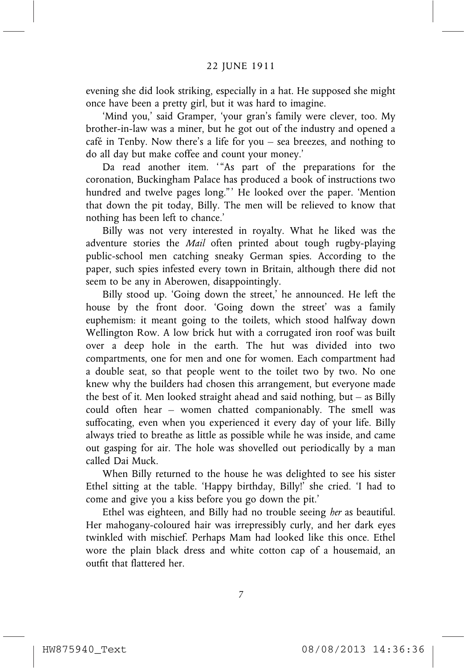evening she did look striking, especially in a hat. He supposed she might once have been a pretty girl, but it was hard to imagine.

'Mind you,' said Gramper, 'your gran's family were clever, too. My brother-in-law was a miner, but he got out of the industry and opened a café in Tenby. Now there's a life for you – sea breezes, and nothing to do all day but make coffee and count your money.'

Da read another item. "As part of the preparations for the coronation, Buckingham Palace has produced a book of instructions two hundred and twelve pages long." ' He looked over the paper. 'Mention that down the pit today, Billy. The men will be relieved to know that nothing has been left to chance.'

Billy was not very interested in royalty. What he liked was the adventure stories the *Mail* often printed about tough rugby-playing public-school men catching sneaky German spies. According to the paper, such spies infested every town in Britain, although there did not seem to be any in Aberowen, disappointingly.

Billy stood up. 'Going down the street,' he announced. He left the house by the front door. 'Going down the street' was a family euphemism: it meant going to the toilets, which stood halfway down Wellington Row. A low brick hut with a corrugated iron roof was built over a deep hole in the earth. The hut was divided into two compartments, one for men and one for women. Each compartment had a double seat, so that people went to the toilet two by two. No one knew why the builders had chosen this arrangement, but everyone made the best of it. Men looked straight ahead and said nothing, but – as Billy could often hear – women chatted companionably. The smell was suffocating, even when you experienced it every day of your life. Billy always tried to breathe as little as possible while he was inside, and came out gasping for air. The hole was shovelled out periodically by a man called Dai Muck.

When Billy returned to the house he was delighted to see his sister Ethel sitting at the table. 'Happy birthday, Billy!' she cried. 'I had to come and give you a kiss before you go down the pit.'

Ethel was eighteen, and Billy had no trouble seeing *her* as beautiful. Her mahogany-coloured hair was irrepressibly curly, and her dark eyes twinkled with mischief. Perhaps Mam had looked like this once. Ethel wore the plain black dress and white cotton cap of a housemaid, an outfit that flattered her.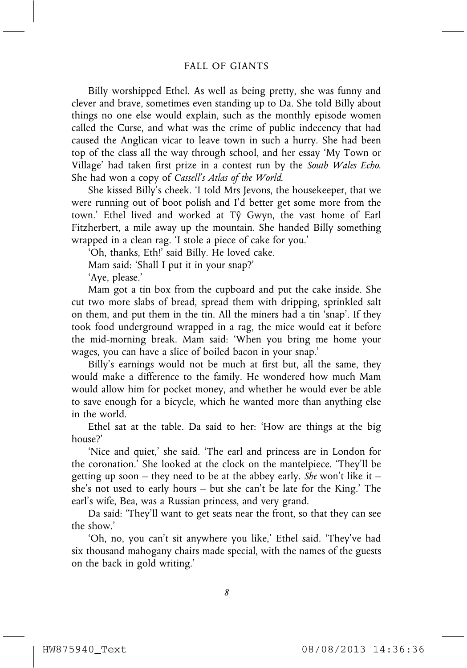Billy worshipped Ethel. As well as being pretty, she was funny and clever and brave, sometimes even standing up to Da. She told Billy about things no one else would explain, such as the monthly episode women called the Curse, and what was the crime of public indecency that had caused the Anglican vicar to leave town in such a hurry. She had been top of the class all the way through school, and her essay 'My Town or Village' had taken first prize in a contest run by the *South Wales Echo*. She had won a copy of *Cassell's Atlas of the World*.

She kissed Billy's cheek. 'I told Mrs Jevons, the housekeeper, that we were running out of boot polish and I'd better get some more from the town.' Ethel lived and worked at Tŷ Gwyn, the vast home of Earl Fitzherbert, a mile away up the mountain. She handed Billy something wrapped in a clean rag. 'I stole a piece of cake for you.'

'Oh, thanks, Eth!' said Billy. He loved cake.

Mam said: 'Shall I put it in your snap?'

'Aye, please.'

Mam got a tin box from the cupboard and put the cake inside. She cut two more slabs of bread, spread them with dripping, sprinkled salt on them, and put them in the tin. All the miners had a tin 'snap'. If they took food underground wrapped in a rag, the mice would eat it before the mid-morning break. Mam said: 'When you bring me home your wages, you can have a slice of boiled bacon in your snap.'

Billy's earnings would not be much at first but, all the same, they would make a difference to the family. He wondered how much Mam would allow him for pocket money, and whether he would ever be able to save enough for a bicycle, which he wanted more than anything else in the world.

Ethel sat at the table. Da said to her: 'How are things at the big house?'

'Nice and quiet,' she said. 'The earl and princess are in London for the coronation.' She looked at the clock on the mantelpiece. 'They'll be getting up soon – they need to be at the abbey early. *She* won't like it – she's not used to early hours – but she can't be late for the King.' The earl's wife, Bea, was a Russian princess, and very grand.

Da said: 'They'll want to get seats near the front, so that they can see the show.'

'Oh, no, you can't sit anywhere you like,' Ethel said. 'They've had six thousand mahogany chairs made special, with the names of the guests on the back in gold writing.'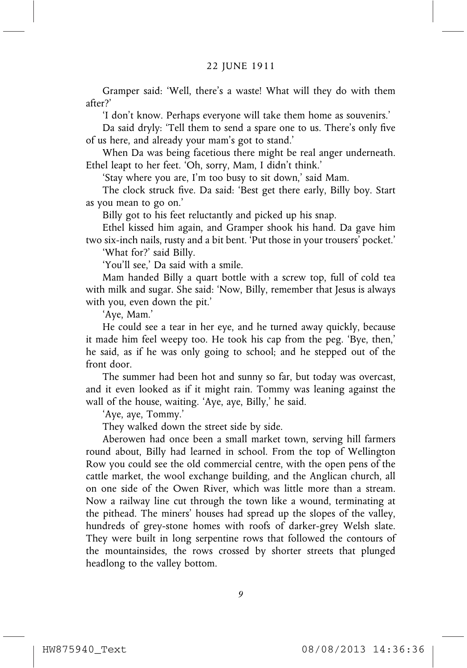Gramper said: 'Well, there's a waste! What will they do with them after?'

'I don't know. Perhaps everyone will take them home as souvenirs.'

Da said dryly: 'Tell them to send a spare one to us. There's only five of us here, and already your mam's got to stand.'

When Da was being facetious there might be real anger underneath. Ethel leapt to her feet. 'Oh, sorry, Mam, I didn't think.'

'Stay where you are, I'm too busy to sit down,' said Mam.

The clock struck five. Da said: 'Best get there early, Billy boy. Start as you mean to go on.'

Billy got to his feet reluctantly and picked up his snap.

Ethel kissed him again, and Gramper shook his hand. Da gave him two six-inch nails, rusty and a bit bent. 'Put those in your trousers' pocket.'

'What for?' said Billy.

'You'll see,' Da said with a smile.

Mam handed Billy a quart bottle with a screw top, full of cold tea with milk and sugar. She said: 'Now, Billy, remember that Jesus is always with you, even down the pit.'

'Aye, Mam.'

He could see a tear in her eye, and he turned away quickly, because it made him feel weepy too. He took his cap from the peg. 'Bye, then,' he said, as if he was only going to school; and he stepped out of the front door.

The summer had been hot and sunny so far, but today was overcast, and it even looked as if it might rain. Tommy was leaning against the wall of the house, waiting. 'Aye, aye, Billy,' he said.

'Aye, aye, Tommy.'

They walked down the street side by side.

Aberowen had once been a small market town, serving hill farmers round about, Billy had learned in school. From the top of Wellington Row you could see the old commercial centre, with the open pens of the cattle market, the wool exchange building, and the Anglican church, all on one side of the Owen River, which was little more than a stream. Now a railway line cut through the town like a wound, terminating at the pithead. The miners' houses had spread up the slopes of the valley, hundreds of grey-stone homes with roofs of darker-grey Welsh slate. They were built in long serpentine rows that followed the contours of the mountainsides, the rows crossed by shorter streets that plunged headlong to the valley bottom.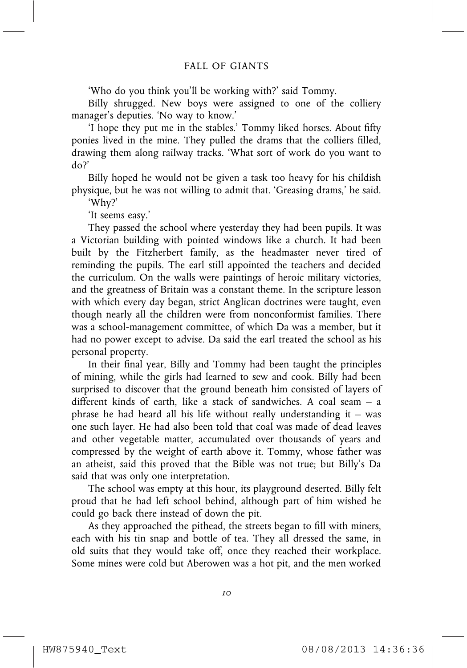'Who do you think you'll be working with?' said Tommy.

Billy shrugged. New boys were assigned to one of the colliery manager's deputies. 'No way to know.'

'I hope they put me in the stables.' Tommy liked horses. About fifty ponies lived in the mine. They pulled the drams that the colliers filled, drawing them along railway tracks. 'What sort of work do you want to do?'

Billy hoped he would not be given a task too heavy for his childish physique, but he was not willing to admit that. 'Greasing drams,' he said.

'Why?'

'It seems easy.'

They passed the school where yesterday they had been pupils. It was a Victorian building with pointed windows like a church. It had been built by the Fitzherbert family, as the headmaster never tired of reminding the pupils. The earl still appointed the teachers and decided the curriculum. On the walls were paintings of heroic military victories, and the greatness of Britain was a constant theme. In the scripture lesson with which every day began, strict Anglican doctrines were taught, even though nearly all the children were from nonconformist families. There was a school-management committee, of which Da was a member, but it had no power except to advise. Da said the earl treated the school as his personal property.

In their final year, Billy and Tommy had been taught the principles of mining, while the girls had learned to sew and cook. Billy had been surprised to discover that the ground beneath him consisted of layers of different kinds of earth, like a stack of sandwiches. A coal seam – a phrase he had heard all his life without really understanding it – was one such layer. He had also been told that coal was made of dead leaves and other vegetable matter, accumulated over thousands of years and compressed by the weight of earth above it. Tommy, whose father was an atheist, said this proved that the Bible was not true; but Billy's Da said that was only one interpretation.

The school was empty at this hour, its playground deserted. Billy felt proud that he had left school behind, although part of him wished he could go back there instead of down the pit.

As they approached the pithead, the streets began to fill with miners, each with his tin snap and bottle of tea. They all dressed the same, in old suits that they would take off, once they reached their workplace. Some mines were cold but Aberowen was a hot pit, and the men worked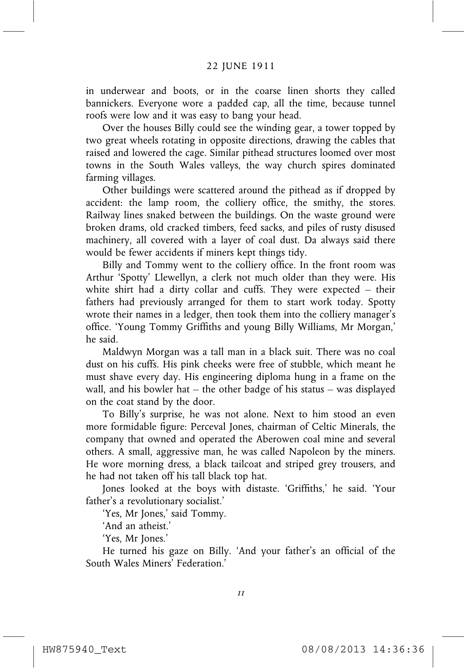in underwear and boots, or in the coarse linen shorts they called bannickers. Everyone wore a padded cap, all the time, because tunnel roofs were low and it was easy to bang your head.

Over the houses Billy could see the winding gear, a tower topped by two great wheels rotating in opposite directions, drawing the cables that raised and lowered the cage. Similar pithead structures loomed over most towns in the South Wales valleys, the way church spires dominated farming villages.

Other buildings were scattered around the pithead as if dropped by accident: the lamp room, the colliery office, the smithy, the stores. Railway lines snaked between the buildings. On the waste ground were broken drams, old cracked timbers, feed sacks, and piles of rusty disused machinery, all covered with a layer of coal dust. Da always said there would be fewer accidents if miners kept things tidy.

Billy and Tommy went to the colliery office. In the front room was Arthur 'Spotty' Llewellyn, a clerk not much older than they were. His white shirt had a dirty collar and cuffs. They were expected – their fathers had previously arranged for them to start work today. Spotty wrote their names in a ledger, then took them into the colliery manager's office. 'Young Tommy Griffiths and young Billy Williams, Mr Morgan,' he said.

Maldwyn Morgan was a tall man in a black suit. There was no coal dust on his cuffs. His pink cheeks were free of stubble, which meant he must shave every day. His engineering diploma hung in a frame on the wall, and his bowler hat – the other badge of his status – was displayed on the coat stand by the door.

To Billy's surprise, he was not alone. Next to him stood an even more formidable figure: Perceval Jones, chairman of Celtic Minerals, the company that owned and operated the Aberowen coal mine and several others. A small, aggressive man, he was called Napoleon by the miners. He wore morning dress, a black tailcoat and striped grey trousers, and he had not taken off his tall black top hat.

Jones looked at the boys with distaste. 'Griffiths,' he said. 'Your father's a revolutionary socialist.'

'Yes, Mr Jones,' said Tommy.

'And an atheist.'

'Yes, Mr Jones.'

He turned his gaze on Billy. 'And your father's an official of the South Wales Miners' Federation.'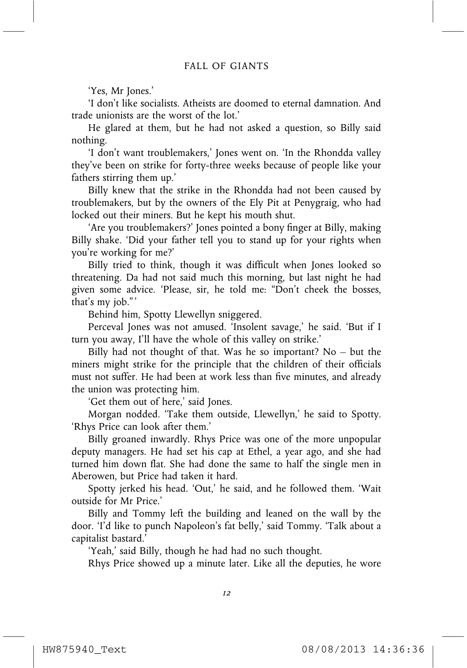'Yes, Mr Jones.'

'I don't like socialists. Atheists are doomed to eternal damnation. And trade unionists are the worst of the lot.'

He glared at them, but he had not asked a question, so Billy said nothing.

'I don't want troublemakers,' Jones went on. 'In the Rhondda valley they've been on strike for forty-three weeks because of people like your fathers stirring them up.'

Billy knew that the strike in the Rhondda had not been caused by troublemakers, but by the owners of the Ely Pit at Penygraig, who had locked out their miners. But he kept his mouth shut.

'Are you troublemakers?' Jones pointed a bony finger at Billy, making Billy shake. 'Did your father tell you to stand up for your rights when you're working for me?'

Billy tried to think, though it was difficult when Jones looked so threatening. Da had not said much this morning, but last night he had given some advice. 'Please, sir, he told me: "Don't cheek the bosses, that's my job." '

Behind him, Spotty Llewellyn sniggered.

Perceval Jones was not amused. 'Insolent savage,' he said. 'But if I turn you away, I'll have the whole of this valley on strike.'

Billy had not thought of that. Was he so important? No – but the miners might strike for the principle that the children of their officials must not suffer. He had been at work less than five minutes, and already the union was protecting him.

'Get them out of here,' said Jones.

Morgan nodded. 'Take them outside, Llewellyn,' he said to Spotty. 'Rhys Price can look after them.'

Billy groaned inwardly. Rhys Price was one of the more unpopular deputy managers. He had set his cap at Ethel, a year ago, and she had turned him down flat. She had done the same to half the single men in Aberowen, but Price had taken it hard.

Spotty jerked his head. 'Out,' he said, and he followed them. 'Wait outside for Mr Price.'

Billy and Tommy left the building and leaned on the wall by the door. 'I'd like to punch Napoleon's fat belly,' said Tommy. 'Talk about a capitalist bastard.'

'Yeah,' said Billy, though he had had no such thought.

Rhys Price showed up a minute later. Like all the deputies, he wore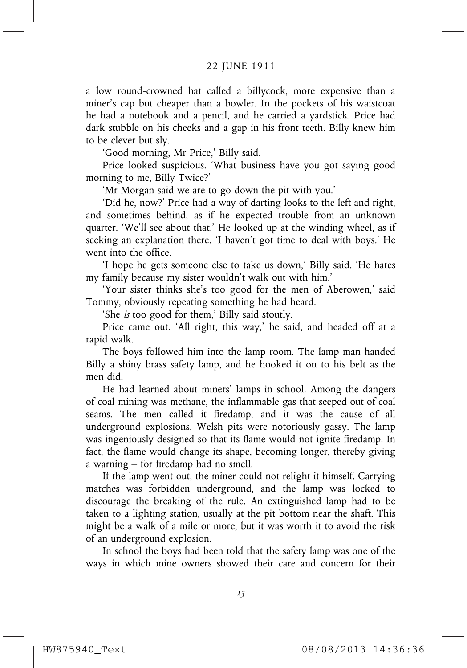a low round-crowned hat called a billycock, more expensive than a miner's cap but cheaper than a bowler. In the pockets of his waistcoat he had a notebook and a pencil, and he carried a yardstick. Price had dark stubble on his cheeks and a gap in his front teeth. Billy knew him to be clever but sly.

'Good morning, Mr Price,' Billy said.

Price looked suspicious. 'What business have you got saying good morning to me, Billy Twice?'

'Mr Morgan said we are to go down the pit with you.'

'Did he, now?' Price had a way of darting looks to the left and right, and sometimes behind, as if he expected trouble from an unknown quarter. 'We'll see about that.' He looked up at the winding wheel, as if seeking an explanation there. 'I haven't got time to deal with boys.' He went into the office.

'I hope he gets someone else to take us down,' Billy said. 'He hates my family because my sister wouldn't walk out with him.'

'Your sister thinks she's too good for the men of Aberowen,' said Tommy, obviously repeating something he had heard.

'She *is* too good for them,' Billy said stoutly.

Price came out. 'All right, this way,' he said, and headed off at a rapid walk.

The boys followed him into the lamp room. The lamp man handed Billy a shiny brass safety lamp, and he hooked it on to his belt as the men did.

He had learned about miners' lamps in school. Among the dangers of coal mining was methane, the inflammable gas that seeped out of coal seams. The men called it firedamp, and it was the cause of all underground explosions. Welsh pits were notoriously gassy. The lamp was ingeniously designed so that its flame would not ignite firedamp. In fact, the flame would change its shape, becoming longer, thereby giving a warning – for firedamp had no smell.

If the lamp went out, the miner could not relight it himself. Carrying matches was forbidden underground, and the lamp was locked to discourage the breaking of the rule. An extinguished lamp had to be taken to a lighting station, usually at the pit bottom near the shaft. This might be a walk of a mile or more, but it was worth it to avoid the risk of an underground explosion.

In school the boys had been told that the safety lamp was one of the ways in which mine owners showed their care and concern for their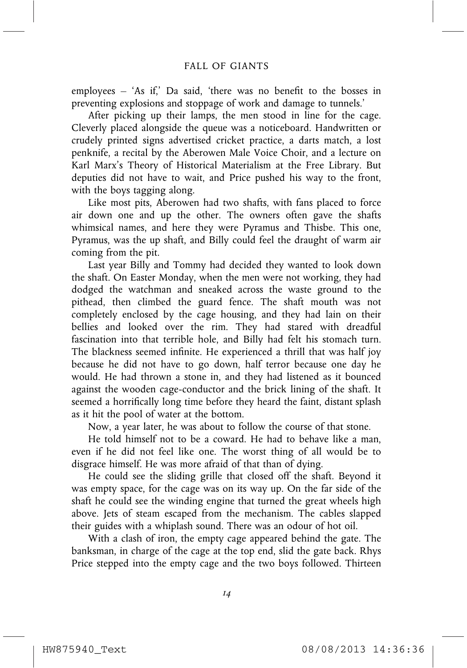employees – 'As if,' Da said, 'there was no benefit to the bosses in preventing explosions and stoppage of work and damage to tunnels.'

After picking up their lamps, the men stood in line for the cage. Cleverly placed alongside the queue was a noticeboard. Handwritten or crudely printed signs advertised cricket practice, a darts match, a lost penknife, a recital by the Aberowen Male Voice Choir, and a lecture on Karl Marx's Theory of Historical Materialism at the Free Library. But deputies did not have to wait, and Price pushed his way to the front, with the boys tagging along.

Like most pits, Aberowen had two shafts, with fans placed to force air down one and up the other. The owners often gave the shafts whimsical names, and here they were Pyramus and Thisbe. This one, Pyramus, was the up shaft, and Billy could feel the draught of warm air coming from the pit.

Last year Billy and Tommy had decided they wanted to look down the shaft. On Easter Monday, when the men were not working, they had dodged the watchman and sneaked across the waste ground to the pithead, then climbed the guard fence. The shaft mouth was not completely enclosed by the cage housing, and they had lain on their bellies and looked over the rim. They had stared with dreadful fascination into that terrible hole, and Billy had felt his stomach turn. The blackness seemed infinite. He experienced a thrill that was half joy because he did not have to go down, half terror because one day he would. He had thrown a stone in, and they had listened as it bounced against the wooden cage-conductor and the brick lining of the shaft. It seemed a horrifically long time before they heard the faint, distant splash as it hit the pool of water at the bottom.

Now, a year later, he was about to follow the course of that stone.

He told himself not to be a coward. He had to behave like a man, even if he did not feel like one. The worst thing of all would be to disgrace himself. He was more afraid of that than of dying.

He could see the sliding grille that closed off the shaft. Beyond it was empty space, for the cage was on its way up. On the far side of the shaft he could see the winding engine that turned the great wheels high above. Jets of steam escaped from the mechanism. The cables slapped their guides with a whiplash sound. There was an odour of hot oil.

With a clash of iron, the empty cage appeared behind the gate. The banksman, in charge of the cage at the top end, slid the gate back. Rhys Price stepped into the empty cage and the two boys followed. Thirteen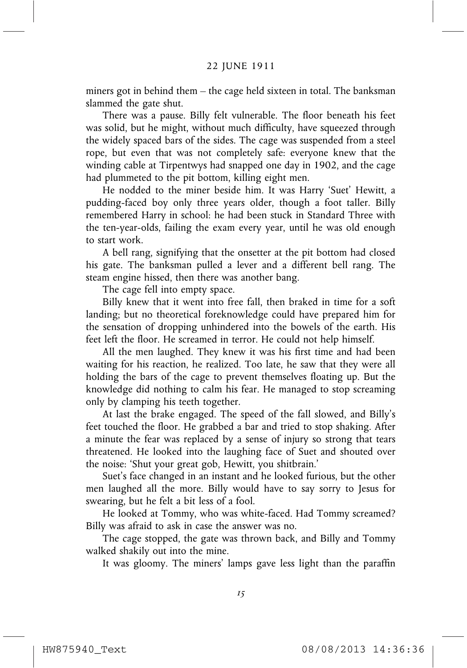miners got in behind them – the cage held sixteen in total. The banksman slammed the gate shut.

There was a pause. Billy felt vulnerable. The floor beneath his feet was solid, but he might, without much difficulty, have squeezed through the widely spaced bars of the sides. The cage was suspended from a steel rope, but even that was not completely safe: everyone knew that the winding cable at Tirpentwys had snapped one day in 1902, and the cage had plummeted to the pit bottom, killing eight men.

He nodded to the miner beside him. It was Harry 'Suet' Hewitt, a pudding-faced boy only three years older, though a foot taller. Billy remembered Harry in school: he had been stuck in Standard Three with the ten-year-olds, failing the exam every year, until he was old enough to start work.

A bell rang, signifying that the onsetter at the pit bottom had closed his gate. The banksman pulled a lever and a different bell rang. The steam engine hissed, then there was another bang.

The cage fell into empty space.

Billy knew that it went into free fall, then braked in time for a soft landing; but no theoretical foreknowledge could have prepared him for the sensation of dropping unhindered into the bowels of the earth. His feet left the floor. He screamed in terror. He could not help himself.

All the men laughed. They knew it was his first time and had been waiting for his reaction, he realized. Too late, he saw that they were all holding the bars of the cage to prevent themselves floating up. But the knowledge did nothing to calm his fear. He managed to stop screaming only by clamping his teeth together.

At last the brake engaged. The speed of the fall slowed, and Billy's feet touched the floor. He grabbed a bar and tried to stop shaking. After a minute the fear was replaced by a sense of injury so strong that tears threatened. He looked into the laughing face of Suet and shouted over the noise: 'Shut your great gob, Hewitt, you shitbrain.'

Suet's face changed in an instant and he looked furious, but the other men laughed all the more. Billy would have to say sorry to Jesus for swearing, but he felt a bit less of a fool.

He looked at Tommy, who was white-faced. Had Tommy screamed? Billy was afraid to ask in case the answer was no.

The cage stopped, the gate was thrown back, and Billy and Tommy walked shakily out into the mine.

It was gloomy. The miners' lamps gave less light than the paraffin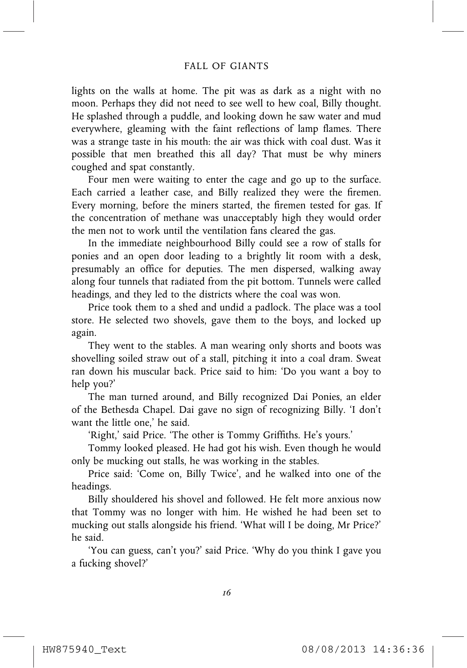lights on the walls at home. The pit was as dark as a night with no moon. Perhaps they did not need to see well to hew coal, Billy thought. He splashed through a puddle, and looking down he saw water and mud everywhere, gleaming with the faint reflections of lamp flames. There was a strange taste in his mouth: the air was thick with coal dust. Was it possible that men breathed this all day? That must be why miners coughed and spat constantly.

Four men were waiting to enter the cage and go up to the surface. Each carried a leather case, and Billy realized they were the firemen. Every morning, before the miners started, the firemen tested for gas. If the concentration of methane was unacceptably high they would order the men not to work until the ventilation fans cleared the gas.

In the immediate neighbourhood Billy could see a row of stalls for ponies and an open door leading to a brightly lit room with a desk, presumably an office for deputies. The men dispersed, walking away along four tunnels that radiated from the pit bottom. Tunnels were called headings, and they led to the districts where the coal was won.

Price took them to a shed and undid a padlock. The place was a tool store. He selected two shovels, gave them to the boys, and locked up again.

They went to the stables. A man wearing only shorts and boots was shovelling soiled straw out of a stall, pitching it into a coal dram. Sweat ran down his muscular back. Price said to him: 'Do you want a boy to help you?'

The man turned around, and Billy recognized Dai Ponies, an elder of the Bethesda Chapel. Dai gave no sign of recognizing Billy. 'I don't want the little one,' he said.

'Right,' said Price. 'The other is Tommy Griffiths. He's yours.'

Tommy looked pleased. He had got his wish. Even though he would only be mucking out stalls, he was working in the stables.

Price said: 'Come on, Billy Twice', and he walked into one of the headings.

Billy shouldered his shovel and followed. He felt more anxious now that Tommy was no longer with him. He wished he had been set to mucking out stalls alongside his friend. 'What will I be doing, Mr Price?' he said.

'You can guess, can't you?' said Price. 'Why do you think I gave you a fucking shovel?'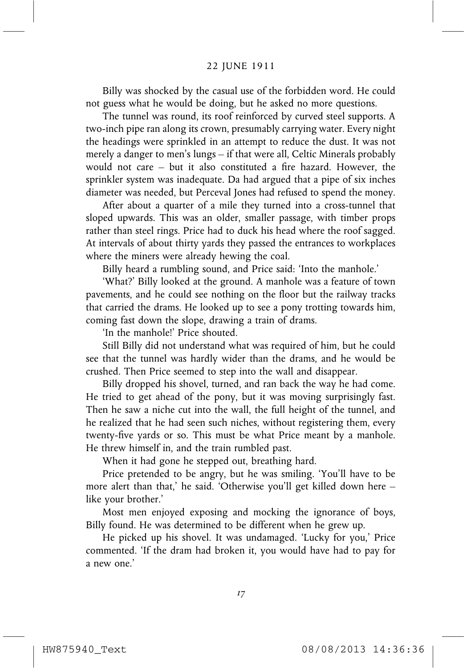Billy was shocked by the casual use of the forbidden word. He could not guess what he would be doing, but he asked no more questions.

The tunnel was round, its roof reinforced by curved steel supports. A two-inch pipe ran along its crown, presumably carrying water. Every night the headings were sprinkled in an attempt to reduce the dust. It was not merely a danger to men's lungs – if that were all, Celtic Minerals probably would not care – but it also constituted a fire hazard. However, the sprinkler system was inadequate. Da had argued that a pipe of six inches diameter was needed, but Perceval Jones had refused to spend the money.

After about a quarter of a mile they turned into a cross-tunnel that sloped upwards. This was an older, smaller passage, with timber props rather than steel rings. Price had to duck his head where the roof sagged. At intervals of about thirty yards they passed the entrances to workplaces where the miners were already hewing the coal.

Billy heard a rumbling sound, and Price said: 'Into the manhole.'

'What?' Billy looked at the ground. A manhole was a feature of town pavements, and he could see nothing on the floor but the railway tracks that carried the drams. He looked up to see a pony trotting towards him, coming fast down the slope, drawing a train of drams.

'In the manhole!' Price shouted.

Still Billy did not understand what was required of him, but he could see that the tunnel was hardly wider than the drams, and he would be crushed. Then Price seemed to step into the wall and disappear.

Billy dropped his shovel, turned, and ran back the way he had come. He tried to get ahead of the pony, but it was moving surprisingly fast. Then he saw a niche cut into the wall, the full height of the tunnel, and he realized that he had seen such niches, without registering them, every twenty-five yards or so. This must be what Price meant by a manhole. He threw himself in, and the train rumbled past.

When it had gone he stepped out, breathing hard.

Price pretended to be angry, but he was smiling. 'You'll have to be more alert than that,' he said. 'Otherwise you'll get killed down here – like your brother.'

Most men enjoyed exposing and mocking the ignorance of boys, Billy found. He was determined to be different when he grew up.

He picked up his shovel. It was undamaged. 'Lucky for you,' Price commented. 'If the dram had broken it, you would have had to pay for a new one.'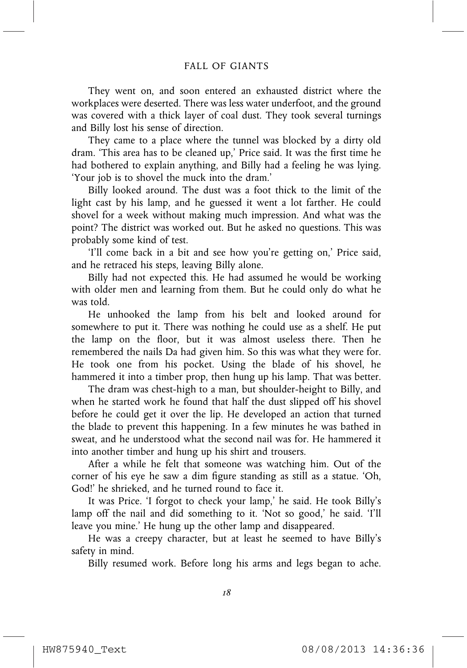They went on, and soon entered an exhausted district where the workplaces were deserted. There was less water underfoot, and the ground was covered with a thick layer of coal dust. They took several turnings and Billy lost his sense of direction.

They came to a place where the tunnel was blocked by a dirty old dram. 'This area has to be cleaned up,' Price said. It was the first time he had bothered to explain anything, and Billy had a feeling he was lying. 'Your job is to shovel the muck into the dram.'

Billy looked around. The dust was a foot thick to the limit of the light cast by his lamp, and he guessed it went a lot farther. He could shovel for a week without making much impression. And what was the point? The district was worked out. But he asked no questions. This was probably some kind of test.

'I'll come back in a bit and see how you're getting on,' Price said, and he retraced his steps, leaving Billy alone.

Billy had not expected this. He had assumed he would be working with older men and learning from them. But he could only do what he was told.

He unhooked the lamp from his belt and looked around for somewhere to put it. There was nothing he could use as a shelf. He put the lamp on the floor, but it was almost useless there. Then he remembered the nails Da had given him. So this was what they were for. He took one from his pocket. Using the blade of his shovel, he hammered it into a timber prop, then hung up his lamp. That was better.

The dram was chest-high to a man, but shoulder-height to Billy, and when he started work he found that half the dust slipped off his shovel before he could get it over the lip. He developed an action that turned the blade to prevent this happening. In a few minutes he was bathed in sweat, and he understood what the second nail was for. He hammered it into another timber and hung up his shirt and trousers.

After a while he felt that someone was watching him. Out of the corner of his eye he saw a dim figure standing as still as a statue. 'Oh, God!' he shrieked, and he turned round to face it.

It was Price. 'I forgot to check your lamp,' he said. He took Billy's lamp off the nail and did something to it. 'Not so good,' he said. 'I'll leave you mine.' He hung up the other lamp and disappeared.

He was a creepy character, but at least he seemed to have Billy's safety in mind.

Billy resumed work. Before long his arms and legs began to ache.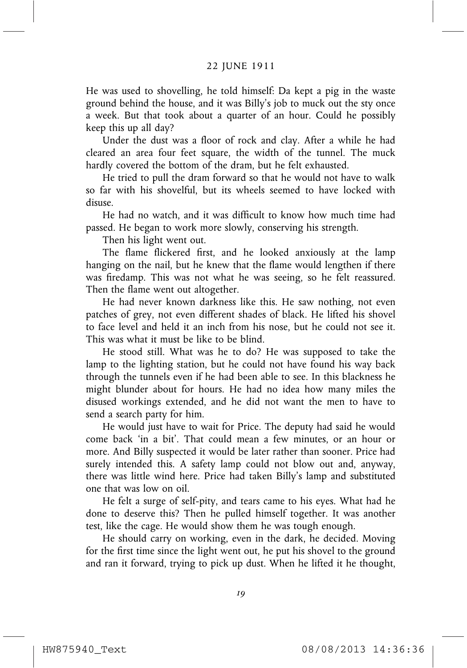He was used to shovelling, he told himself: Da kept a pig in the waste ground behind the house, and it was Billy's job to muck out the sty once a week. But that took about a quarter of an hour. Could he possibly keep this up all day?

Under the dust was a floor of rock and clay. After a while he had cleared an area four feet square, the width of the tunnel. The muck hardly covered the bottom of the dram, but he felt exhausted.

He tried to pull the dram forward so that he would not have to walk so far with his shovelful, but its wheels seemed to have locked with disuse.

He had no watch, and it was difficult to know how much time had passed. He began to work more slowly, conserving his strength.

Then his light went out.

The flame flickered first, and he looked anxiously at the lamp hanging on the nail, but he knew that the flame would lengthen if there was firedamp. This was not what he was seeing, so he felt reassured. Then the flame went out altogether.

He had never known darkness like this. He saw nothing, not even patches of grey, not even different shades of black. He lifted his shovel to face level and held it an inch from his nose, but he could not see it. This was what it must be like to be blind.

He stood still. What was he to do? He was supposed to take the lamp to the lighting station, but he could not have found his way back through the tunnels even if he had been able to see. In this blackness he might blunder about for hours. He had no idea how many miles the disused workings extended, and he did not want the men to have to send a search party for him.

He would just have to wait for Price. The deputy had said he would come back 'in a bit'. That could mean a few minutes, or an hour or more. And Billy suspected it would be later rather than sooner. Price had surely intended this. A safety lamp could not blow out and, anyway, there was little wind here. Price had taken Billy's lamp and substituted one that was low on oil.

He felt a surge of self-pity, and tears came to his eyes. What had he done to deserve this? Then he pulled himself together. It was another test, like the cage. He would show them he was tough enough.

He should carry on working, even in the dark, he decided. Moving for the first time since the light went out, he put his shovel to the ground and ran it forward, trying to pick up dust. When he lifted it he thought,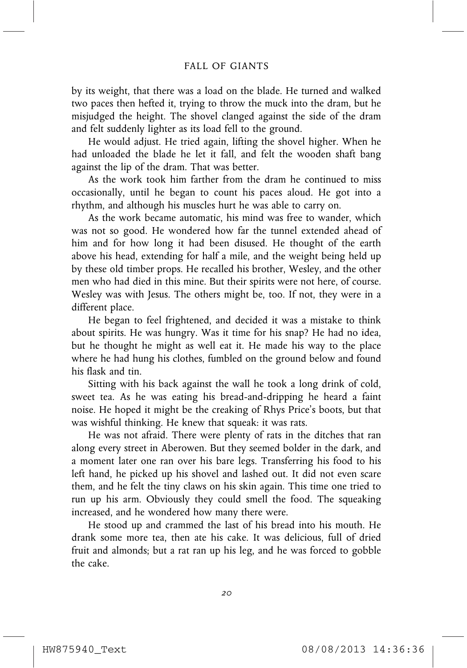by its weight, that there was a load on the blade. He turned and walked two paces then hefted it, trying to throw the muck into the dram, but he misjudged the height. The shovel clanged against the side of the dram and felt suddenly lighter as its load fell to the ground.

He would adjust. He tried again, lifting the shovel higher. When he had unloaded the blade he let it fall, and felt the wooden shaft bang against the lip of the dram. That was better.

As the work took him farther from the dram he continued to miss occasionally, until he began to count his paces aloud. He got into a rhythm, and although his muscles hurt he was able to carry on.

As the work became automatic, his mind was free to wander, which was not so good. He wondered how far the tunnel extended ahead of him and for how long it had been disused. He thought of the earth above his head, extending for half a mile, and the weight being held up by these old timber props. He recalled his brother, Wesley, and the other men who had died in this mine. But their spirits were not here, of course. Wesley was with Jesus. The others might be, too. If not, they were in a different place.

He began to feel frightened, and decided it was a mistake to think about spirits. He was hungry. Was it time for his snap? He had no idea, but he thought he might as well eat it. He made his way to the place where he had hung his clothes, fumbled on the ground below and found his flask and tin.

Sitting with his back against the wall he took a long drink of cold, sweet tea. As he was eating his bread-and-dripping he heard a faint noise. He hoped it might be the creaking of Rhys Price's boots, but that was wishful thinking. He knew that squeak: it was rats.

He was not afraid. There were plenty of rats in the ditches that ran along every street in Aberowen. But they seemed bolder in the dark, and a moment later one ran over his bare legs. Transferring his food to his left hand, he picked up his shovel and lashed out. It did not even scare them, and he felt the tiny claws on his skin again. This time one tried to run up his arm. Obviously they could smell the food. The squeaking increased, and he wondered how many there were.

He stood up and crammed the last of his bread into his mouth. He drank some more tea, then ate his cake. It was delicious, full of dried fruit and almonds; but a rat ran up his leg, and he was forced to gobble the cake.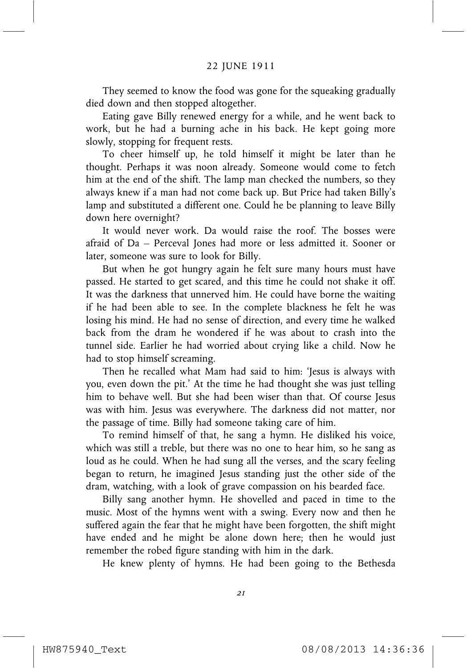They seemed to know the food was gone for the squeaking gradually died down and then stopped altogether.

Eating gave Billy renewed energy for a while, and he went back to work, but he had a burning ache in his back. He kept going more slowly, stopping for frequent rests.

To cheer himself up, he told himself it might be later than he thought. Perhaps it was noon already. Someone would come to fetch him at the end of the shift. The lamp man checked the numbers, so they always knew if a man had not come back up. But Price had taken Billy's lamp and substituted a different one. Could he be planning to leave Billy down here overnight?

It would never work. Da would raise the roof. The bosses were afraid of Da – Perceval Jones had more or less admitted it. Sooner or later, someone was sure to look for Billy.

But when he got hungry again he felt sure many hours must have passed. He started to get scared, and this time he could not shake it off. It was the darkness that unnerved him. He could have borne the waiting if he had been able to see. In the complete blackness he felt he was losing his mind. He had no sense of direction, and every time he walked back from the dram he wondered if he was about to crash into the tunnel side. Earlier he had worried about crying like a child. Now he had to stop himself screaming.

Then he recalled what Mam had said to him: 'Jesus is always with you, even down the pit.' At the time he had thought she was just telling him to behave well. But she had been wiser than that. Of course Jesus was with him. Jesus was everywhere. The darkness did not matter, nor the passage of time. Billy had someone taking care of him.

To remind himself of that, he sang a hymn. He disliked his voice, which was still a treble, but there was no one to hear him, so he sang as loud as he could. When he had sung all the verses, and the scary feeling began to return, he imagined Jesus standing just the other side of the dram, watching, with a look of grave compassion on his bearded face.

Billy sang another hymn. He shovelled and paced in time to the music. Most of the hymns went with a swing. Every now and then he suffered again the fear that he might have been forgotten, the shift might have ended and he might be alone down here; then he would just remember the robed figure standing with him in the dark.

He knew plenty of hymns. He had been going to the Bethesda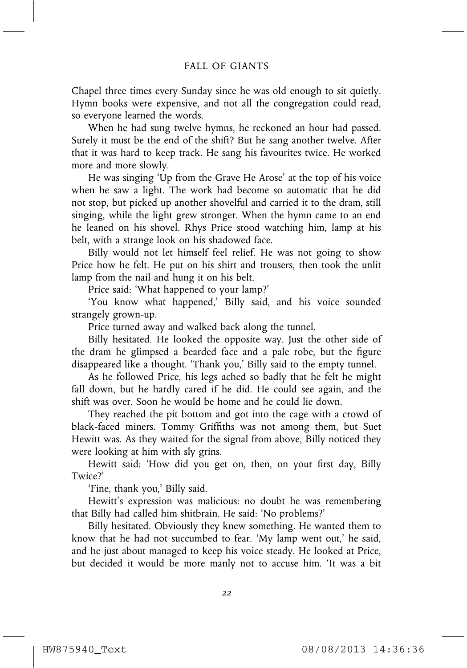Chapel three times every Sunday since he was old enough to sit quietly. Hymn books were expensive, and not all the congregation could read, so everyone learned the words.

When he had sung twelve hymns, he reckoned an hour had passed. Surely it must be the end of the shift? But he sang another twelve. After that it was hard to keep track. He sang his favourites twice. He worked more and more slowly.

He was singing 'Up from the Grave He Arose' at the top of his voice when he saw a light. The work had become so automatic that he did not stop, but picked up another shovelful and carried it to the dram, still singing, while the light grew stronger. When the hymn came to an end he leaned on his shovel. Rhys Price stood watching him, lamp at his belt, with a strange look on his shadowed face.

Billy would not let himself feel relief. He was not going to show Price how he felt. He put on his shirt and trousers, then took the unlit lamp from the nail and hung it on his belt.

Price said: 'What happened to your lamp?'

'You know what happened,' Billy said, and his voice sounded strangely grown-up.

Price turned away and walked back along the tunnel.

Billy hesitated. He looked the opposite way. Just the other side of the dram he glimpsed a bearded face and a pale robe, but the figure disappeared like a thought. 'Thank you,' Billy said to the empty tunnel.

As he followed Price, his legs ached so badly that he felt he might fall down, but he hardly cared if he did. He could see again, and the shift was over. Soon he would be home and he could lie down.

They reached the pit bottom and got into the cage with a crowd of black-faced miners. Tommy Griffiths was not among them, but Suet Hewitt was. As they waited for the signal from above, Billy noticed they were looking at him with sly grins.

Hewitt said: 'How did you get on, then, on your first day, Billy Twice?'

'Fine, thank you,' Billy said.

Hewitt's expression was malicious: no doubt he was remembering that Billy had called him shitbrain. He said: 'No problems?'

Billy hesitated. Obviously they knew something. He wanted them to know that he had not succumbed to fear. 'My lamp went out,' he said, and he just about managed to keep his voice steady. He looked at Price, but decided it would be more manly not to accuse him. 'It was a bit